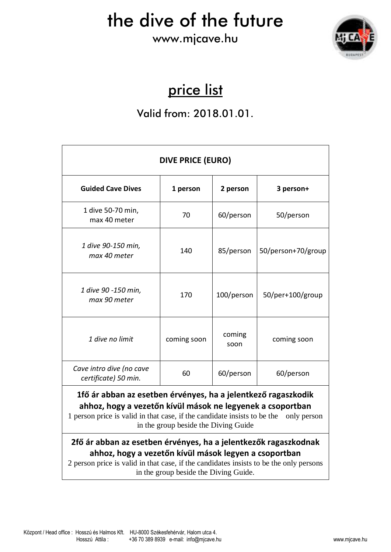#### www.mjcave.hu



### price list

#### Valid from: 2018.01.01.

| DIVE PRICE (EURO)                                                                                                                                                                                                                                           |             |                |                    |  |  |
|-------------------------------------------------------------------------------------------------------------------------------------------------------------------------------------------------------------------------------------------------------------|-------------|----------------|--------------------|--|--|
| <b>Guided Cave Dives</b>                                                                                                                                                                                                                                    | 1 person    | 2 person       | 3 person+          |  |  |
| 1 dive 50-70 min,<br>max 40 meter                                                                                                                                                                                                                           | 70          | 60/person      | 50/person          |  |  |
| 1 dive 90-150 min,<br>max 40 meter                                                                                                                                                                                                                          | 140         | 85/person      | 50/person+70/group |  |  |
| 1 dive 90 -150 min,<br>max 90 meter                                                                                                                                                                                                                         | 170         | 100/person     | 50/per+100/group   |  |  |
| 1 dive no limit                                                                                                                                                                                                                                             | coming soon | coming<br>soon | coming soon        |  |  |
| Cave intro dive (no cave<br>certificate) 50 min.                                                                                                                                                                                                            | 60          | 60/person      | 60/person          |  |  |
| 1fő ár abban az esetben érvényes, ha a jelentkező ragaszkodik<br>ahhoz, hogy a vezetőn kívül mások ne legyenek a csoportban<br>1 person price is valid in that case, if the candidate insists to be the only person<br>in the group beside the Diving Guide |             |                |                    |  |  |
| 2fő ár abban az esetben érvényes, ha a jelentkezők ragaszkodnak<br>ahhoz, hogy a vezetőn kívül mások legyen a csoportban<br>2 person price is valid in that case, if the candidates insists to be the only persons                                          |             |                |                    |  |  |

in the group beside the Diving Guide.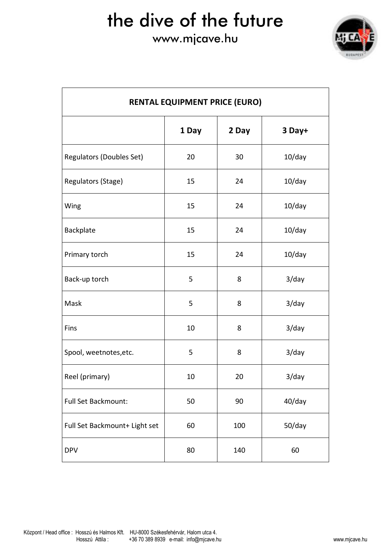### www.mjcave.hu



| <b>RENTAL EQUIPMENT PRICE (EURO)</b> |       |       |           |  |
|--------------------------------------|-------|-------|-----------|--|
|                                      | 1 Day | 2 Day | 3 Day+    |  |
| <b>Regulators (Doubles Set)</b>      | 20    | 30    | $10$ /day |  |
| Regulators (Stage)                   | 15    | 24    | $10$ /day |  |
| Wing                                 | 15    | 24    | $10$ /day |  |
| Backplate                            | 15    | 24    | $10$ /day |  |
| Primary torch                        | 15    | 24    | $10$ /day |  |
| Back-up torch                        | 5     | 8     | $3$ /day  |  |
| Mask                                 | 5     | 8     | $3$ /day  |  |
| Fins                                 | 10    | 8     | $3$ /day  |  |
| Spool, weetnotes, etc.               | 5     | 8     | $3$ /day  |  |
| Reel (primary)                       | 10    | 20    | $3$ /day  |  |
| Full Set Backmount:                  | 50    | 90    | 40/day    |  |
| Full Set Backmount+ Light set        | 60    | 100   | 50/day    |  |
| <b>DPV</b>                           | 80    | 140   | 60        |  |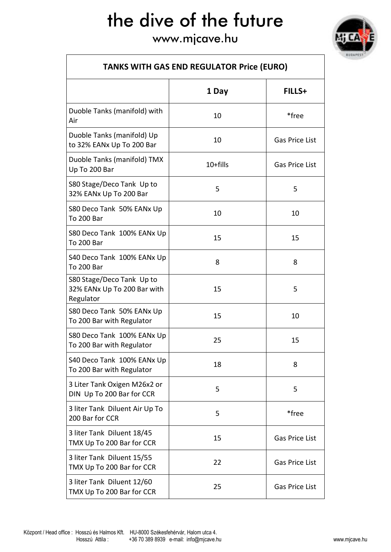www.mjcave.hu



| <b>TANKS WITH GAS END REGULATOR Price (EURO)</b>                      |          |                       |  |  |
|-----------------------------------------------------------------------|----------|-----------------------|--|--|
|                                                                       | 1 Day    | FILLS+                |  |  |
| Duoble Tanks (manifold) with<br>Air                                   | 10       | *free                 |  |  |
| Duoble Tanks (manifold) Up<br>to 32% EANx Up To 200 Bar               | 10       | <b>Gas Price List</b> |  |  |
| Duoble Tanks (manifold) TMX<br>Up To 200 Bar                          | 10+fills | Gas Price List        |  |  |
| S80 Stage/Deco Tank Up to<br>32% EANx Up To 200 Bar                   | 5        | 5                     |  |  |
| S80 Deco Tank 50% EANx Up<br><b>To 200 Bar</b>                        | 10       | 10                    |  |  |
| S80 Deco Tank 100% EANx Up<br><b>To 200 Bar</b>                       | 15       | 15                    |  |  |
| S40 Deco Tank 100% EANx Up<br><b>To 200 Bar</b>                       | 8        | 8                     |  |  |
| S80 Stage/Deco Tank Up to<br>32% EANx Up To 200 Bar with<br>Regulator | 15       | 5                     |  |  |
| S80 Deco Tank 50% EANx Up<br>To 200 Bar with Regulator                | 15       | 10                    |  |  |
| S80 Deco Tank 100% EANx Up<br>To 200 Bar with Regulator               | 25       | 15                    |  |  |
| S40 Deco Tank 100% EANx Up<br>To 200 Bar with Regulator               | 18       | 8                     |  |  |
| 3 Liter Tank Oxigen M26x2 or<br>DIN Up To 200 Bar for CCR             | 5        | 5                     |  |  |
| 3 liter Tank Diluent Air Up To<br>200 Bar for CCR                     | 5        | *free                 |  |  |
| 3 liter Tank Diluent 18/45<br>TMX Up To 200 Bar for CCR               | 15       | Gas Price List        |  |  |
| 3 liter Tank Diluent 15/55<br>TMX Up To 200 Bar for CCR               | 22       | <b>Gas Price List</b> |  |  |
| 3 liter Tank Diluent 12/60<br>TMX Up To 200 Bar for CCR               | 25       | <b>Gas Price List</b> |  |  |